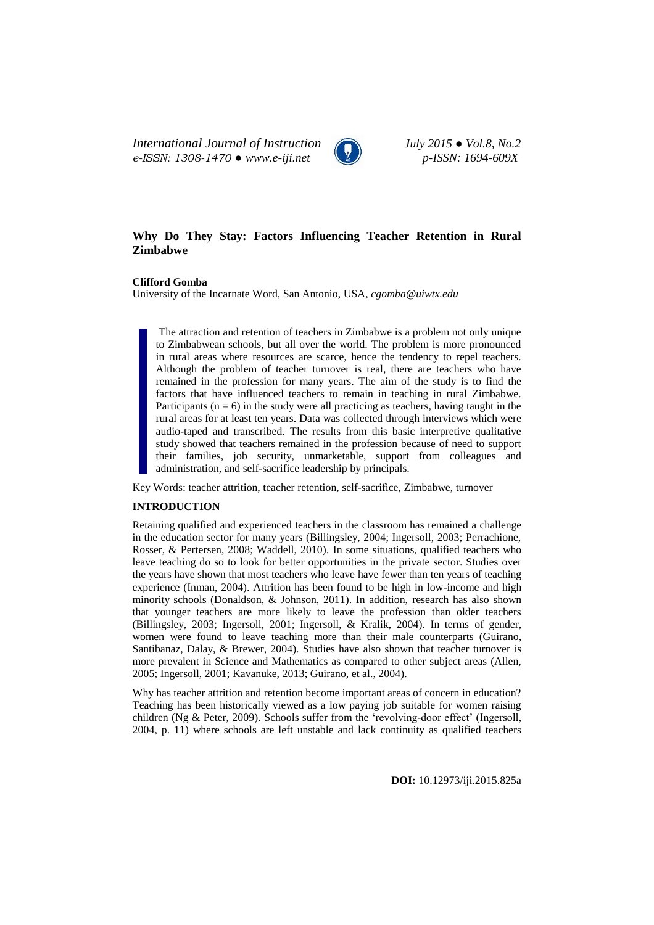*International Journal of Instruction July 2015 ● Vol.8, No.2 e-ISSN: 1308-1470 ● www.e-iji.net p-ISSN: 1694-609X*



# **Why Do They Stay: Factors Influencing Teacher Retention in Rural Zimbabwe**

**Clifford Gomba**

University of the Incarnate Word, San Antonio, USA, *cgomba@uiwtx.edu*

The attraction and retention of teachers in Zimbabwe is a problem not only unique to Zimbabwean schools, but all over the world. The problem is more pronounced in rural areas where resources are scarce, hence the tendency to repel teachers. Although the problem of teacher turnover is real, there are teachers who have remained in the profession for many years. The aim of the study is to find the factors that have influenced teachers to remain in teaching in rural Zimbabwe. Participants ( $n = 6$ ) in the study were all practicing as teachers, having taught in the rural areas for at least ten years. Data was collected through interviews which were audio-taped and transcribed. The results from this basic interpretive qualitative study showed that teachers remained in the profession because of need to support their families, job security, unmarketable, support from colleagues and administration, and self-sacrifice leadership by principals.

Key Words: teacher attrition, teacher retention, self-sacrifice, Zimbabwe, turnover

#### **INTRODUCTION**

Retaining qualified and experienced teachers in the classroom has remained a challenge in the education sector for many years (Billingsley, 2004; Ingersoll, 2003; Perrachione, Rosser, & Pertersen, 2008; Waddell, 2010). In some situations, qualified teachers who leave teaching do so to look for better opportunities in the private sector. Studies over the years have shown that most teachers who leave have fewer than ten years of teaching experience (Inman, 2004). Attrition has been found to be high in low-income and high minority schools (Donaldson, & Johnson, 2011). In addition, research has also shown that younger teachers are more likely to leave the profession than older teachers (Billingsley, 2003; Ingersoll, 2001; Ingersoll, & Kralik, 2004). In terms of gender, women were found to leave teaching more than their male counterparts (Guirano, Santibanaz, Dalay, & Brewer, 2004). Studies have also shown that teacher turnover is more prevalent in Science and Mathematics as compared to other subject areas (Allen, 2005; Ingersoll, 2001; Kavanuke, 2013; Guirano, et al., 2004).

Why has teacher attrition and retention become important areas of concern in education? Teaching has been historically viewed as a low paying job suitable for women raising children (Ng & Peter, 2009). Schools suffer from the "revolving-door effect" (Ingersoll, 2004, p. 11) where schools are left unstable and lack continuity as qualified teachers

**DOI:** 10.12973/iji.2015.825a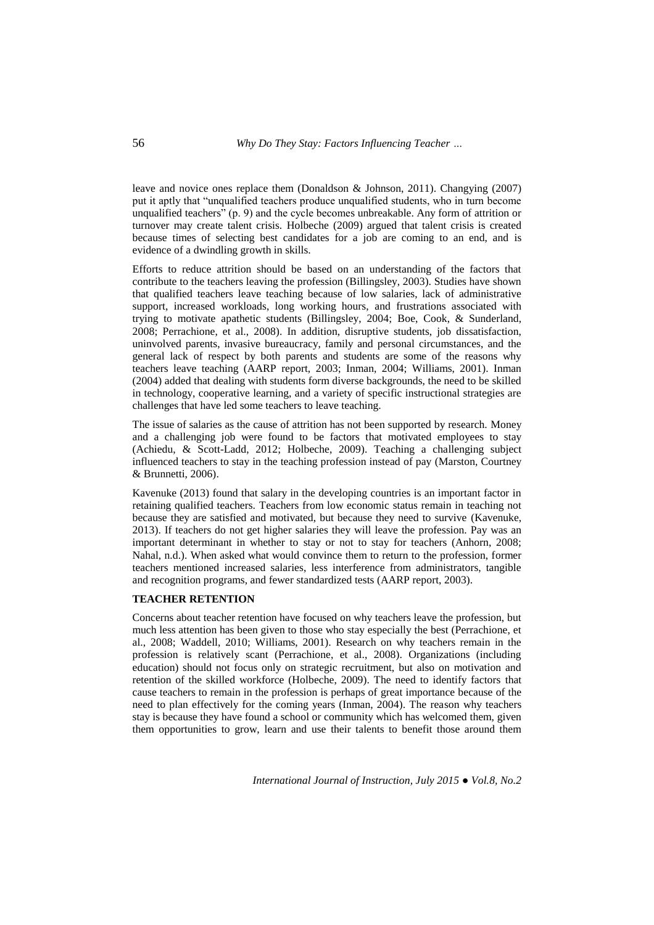leave and novice ones replace them (Donaldson & Johnson, 2011). Changying (2007) put it aptly that "unqualified teachers produce unqualified students, who in turn become unqualified teachers" (p. 9) and the cycle becomes unbreakable. Any form of attrition or turnover may create talent crisis. Holbeche (2009) argued that talent crisis is created because times of selecting best candidates for a job are coming to an end, and is evidence of a dwindling growth in skills.

Efforts to reduce attrition should be based on an understanding of the factors that contribute to the teachers leaving the profession (Billingsley, 2003). Studies have shown that qualified teachers leave teaching because of low salaries, lack of administrative support, increased workloads, long working hours, and frustrations associated with trying to motivate apathetic students (Billingsley, 2004; Boe, Cook, & Sunderland, 2008; Perrachione, et al., 2008). In addition, disruptive students, job dissatisfaction, uninvolved parents, invasive bureaucracy, family and personal circumstances, and the general lack of respect by both parents and students are some of the reasons why teachers leave teaching (AARP report, 2003; Inman, 2004; Williams, 2001). Inman (2004) added that dealing with students form diverse backgrounds, the need to be skilled in technology, cooperative learning, and a variety of specific instructional strategies are challenges that have led some teachers to leave teaching.

The issue of salaries as the cause of attrition has not been supported by research. Money and a challenging job were found to be factors that motivated employees to stay (Achiedu, & Scott-Ladd, 2012; Holbeche, 2009). Teaching a challenging subject influenced teachers to stay in the teaching profession instead of pay (Marston, Courtney & Brunnetti, 2006).

Kavenuke (2013) found that salary in the developing countries is an important factor in retaining qualified teachers. Teachers from low economic status remain in teaching not because they are satisfied and motivated, but because they need to survive (Kavenuke, 2013). If teachers do not get higher salaries they will leave the profession. Pay was an important determinant in whether to stay or not to stay for teachers (Anhorn, 2008; Nahal, n.d.). When asked what would convince them to return to the profession, former teachers mentioned increased salaries, less interference from administrators, tangible and recognition programs, and fewer standardized tests (AARP report, 2003).

### **TEACHER RETENTION**

Concerns about teacher retention have focused on why teachers leave the profession, but much less attention has been given to those who stay especially the best (Perrachione, et al., 2008; Waddell, 2010; Williams, 2001). Research on why teachers remain in the profession is relatively scant (Perrachione, et al., 2008). Organizations (including education) should not focus only on strategic recruitment, but also on motivation and retention of the skilled workforce (Holbeche, 2009). The need to identify factors that cause teachers to remain in the profession is perhaps of great importance because of the need to plan effectively for the coming years (Inman, 2004). The reason why teachers stay is because they have found a school or community which has welcomed them, given them opportunities to grow, learn and use their talents to benefit those around them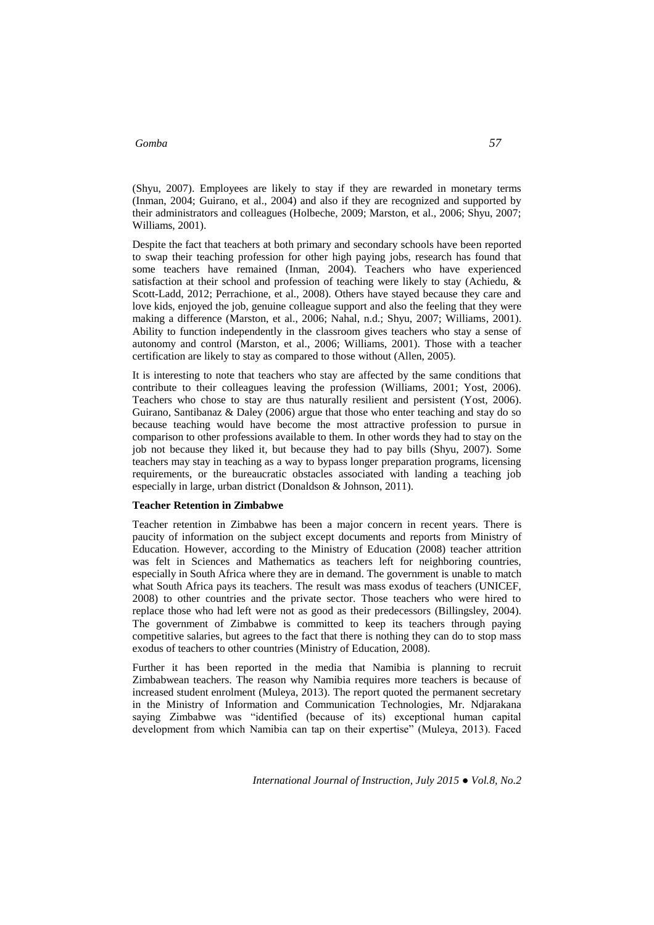(Shyu, 2007). Employees are likely to stay if they are rewarded in monetary terms (Inman, 2004; Guirano, et al., 2004) and also if they are recognized and supported by their administrators and colleagues (Holbeche, 2009; Marston, et al., 2006; Shyu, 2007; Williams, 2001).

Despite the fact that teachers at both primary and secondary schools have been reported to swap their teaching profession for other high paying jobs, research has found that some teachers have remained (Inman, 2004). Teachers who have experienced satisfaction at their school and profession of teaching were likely to stay (Achiedu, & Scott-Ladd, 2012; Perrachione, et al., 2008). Others have stayed because they care and love kids, enjoyed the job, genuine colleague support and also the feeling that they were making a difference (Marston, et al., 2006; Nahal, n.d.; Shyu, 2007; Williams, 2001). Ability to function independently in the classroom gives teachers who stay a sense of autonomy and control (Marston, et al., 2006; Williams, 2001). Those with a teacher certification are likely to stay as compared to those without (Allen, 2005).

It is interesting to note that teachers who stay are affected by the same conditions that contribute to their colleagues leaving the profession (Williams, 2001; Yost, 2006). Teachers who chose to stay are thus naturally resilient and persistent (Yost, 2006). Guirano, Santibanaz & Daley (2006) argue that those who enter teaching and stay do so because teaching would have become the most attractive profession to pursue in comparison to other professions available to them. In other words they had to stay on the job not because they liked it, but because they had to pay bills (Shyu, 2007). Some teachers may stay in teaching as a way to bypass longer preparation programs, licensing requirements, or the bureaucratic obstacles associated with landing a teaching job especially in large, urban district (Donaldson & Johnson, 2011).

#### **Teacher Retention in Zimbabwe**

Teacher retention in Zimbabwe has been a major concern in recent years. There is paucity of information on the subject except documents and reports from Ministry of Education. However, according to the Ministry of Education (2008) teacher attrition was felt in Sciences and Mathematics as teachers left for neighboring countries, especially in South Africa where they are in demand. The government is unable to match what South Africa pays its teachers. The result was mass exodus of teachers (UNICEF, 2008) to other countries and the private sector. Those teachers who were hired to replace those who had left were not as good as their predecessors (Billingsley, 2004). The government of Zimbabwe is committed to keep its teachers through paying competitive salaries, but agrees to the fact that there is nothing they can do to stop mass exodus of teachers to other countries (Ministry of Education, 2008).

Further it has been reported in the media that Namibia is planning to recruit Zimbabwean teachers. The reason why Namibia requires more teachers is because of increased student enrolment (Muleya, 2013). The report quoted the permanent secretary in the Ministry of Information and Communication Technologies, Mr. Ndjarakana saying Zimbabwe was "identified (because of its) exceptional human capital development from which Namibia can tap on their expertise" (Muleya, 2013). Faced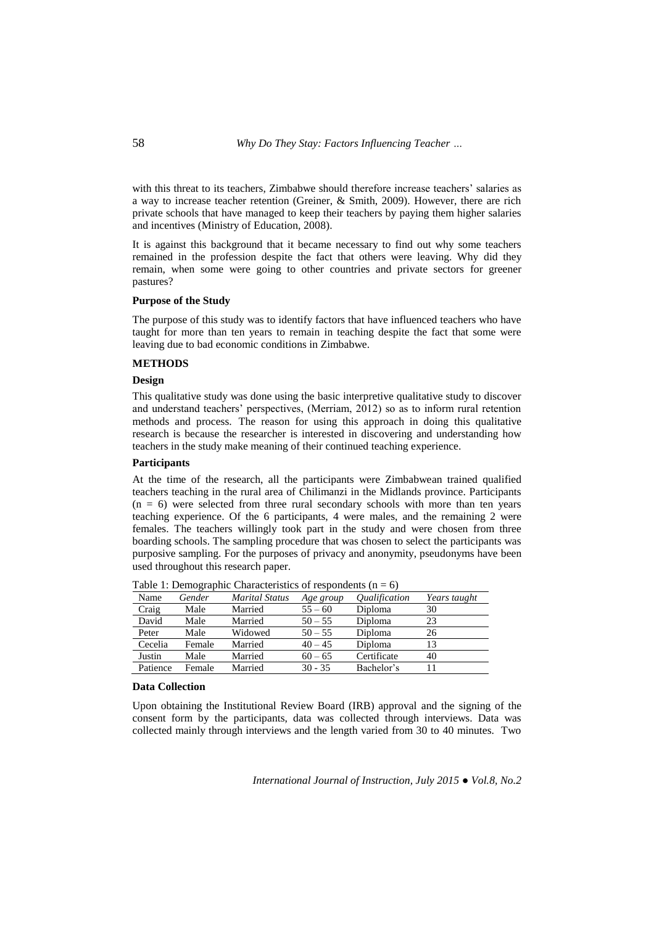with this threat to its teachers. Zimbabwe should therefore increase teachers' salaries as a way to increase teacher retention (Greiner, & Smith, 2009). However, there are rich private schools that have managed to keep their teachers by paying them higher salaries and incentives (Ministry of Education, 2008).

It is against this background that it became necessary to find out why some teachers remained in the profession despite the fact that others were leaving. Why did they remain, when some were going to other countries and private sectors for greener pastures?

#### **Purpose of the Study**

The purpose of this study was to identify factors that have influenced teachers who have taught for more than ten years to remain in teaching despite the fact that some were leaving due to bad economic conditions in Zimbabwe.

#### **METHODS**

## **Design**

This qualitative study was done using the basic interpretive qualitative study to discover and understand teachers" perspectives, (Merriam, 2012) so as to inform rural retention methods and process. The reason for using this approach in doing this qualitative research is because the researcher is interested in discovering and understanding how teachers in the study make meaning of their continued teaching experience.

#### **Participants**

At the time of the research, all the participants were Zimbabwean trained qualified teachers teaching in the rural area of Chilimanzi in the Midlands province. Participants  $(n = 6)$  were selected from three rural secondary schools with more than ten years teaching experience. Of the 6 participants, 4 were males, and the remaining 2 were females. The teachers willingly took part in the study and were chosen from three boarding schools. The sampling procedure that was chosen to select the participants was purposive sampling. For the purposes of privacy and anonymity, pseudonyms have been used throughout this research paper.

| Name     | Gender | <b>Marital Status</b> | Age group | <i><u><b>Oualification</b></u></i> | Years taught |
|----------|--------|-----------------------|-----------|------------------------------------|--------------|
| Craig    | Male   | Married               | $55 - 60$ | Diploma                            | 30           |
| David    | Male   | Married               | $50 - 55$ | Diploma                            | 23           |
| Peter    | Male   | Widowed               | $50 - 55$ | Diploma                            | 26           |
| Cecelia  | Female | Married               | $40 - 45$ | Diploma                            | 13           |
| Justin   | Male   | Married               | $60 - 65$ | Certificate                        | 40           |
| Patience | Female | Married               | $30 - 35$ | Bachelor's                         |              |

Table 1: Demographic Characteristics of respondents  $(n = 6)$ 

#### **Data Collection**

Upon obtaining the Institutional Review Board (IRB) approval and the signing of the consent form by the participants, data was collected through interviews. Data was collected mainly through interviews and the length varied from 30 to 40 minutes. Two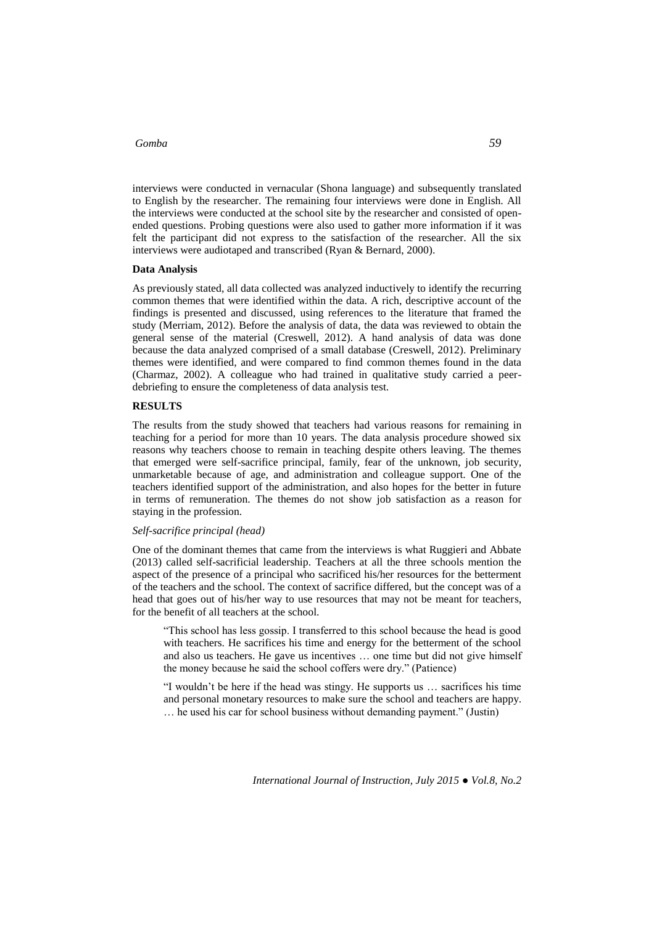interviews were conducted in vernacular (Shona language) and subsequently translated to English by the researcher. The remaining four interviews were done in English. All the interviews were conducted at the school site by the researcher and consisted of openended questions. Probing questions were also used to gather more information if it was felt the participant did not express to the satisfaction of the researcher. All the six interviews were audiotaped and transcribed (Ryan & Bernard, 2000).

#### **Data Analysis**

As previously stated, all data collected was analyzed inductively to identify the recurring common themes that were identified within the data. A rich, descriptive account of the findings is presented and discussed, using references to the literature that framed the study (Merriam, 2012). Before the analysis of data, the data was reviewed to obtain the general sense of the material (Creswell, 2012). A hand analysis of data was done because the data analyzed comprised of a small database (Creswell, 2012). Preliminary themes were identified, and were compared to find common themes found in the data (Charmaz, 2002). A colleague who had trained in qualitative study carried a peerdebriefing to ensure the completeness of data analysis test.

### **RESULTS**

The results from the study showed that teachers had various reasons for remaining in teaching for a period for more than 10 years. The data analysis procedure showed six reasons why teachers choose to remain in teaching despite others leaving. The themes that emerged were self-sacrifice principal, family, fear of the unknown, job security, unmarketable because of age, and administration and colleague support. One of the teachers identified support of the administration, and also hopes for the better in future in terms of remuneration. The themes do not show job satisfaction as a reason for staying in the profession.

#### *Self-sacrifice principal (head)*

One of the dominant themes that came from the interviews is what Ruggieri and Abbate (2013) called self-sacrificial leadership. Teachers at all the three schools mention the aspect of the presence of a principal who sacrificed his/her resources for the betterment of the teachers and the school. The context of sacrifice differed, but the concept was of a head that goes out of his/her way to use resources that may not be meant for teachers, for the benefit of all teachers at the school.

"This school has less gossip. I transferred to this school because the head is good with teachers. He sacrifices his time and energy for the betterment of the school and also us teachers. He gave us incentives … one time but did not give himself the money because he said the school coffers were dry." (Patience)

"I wouldn"t be here if the head was stingy. He supports us … sacrifices his time and personal monetary resources to make sure the school and teachers are happy. … he used his car for school business without demanding payment." (Justin)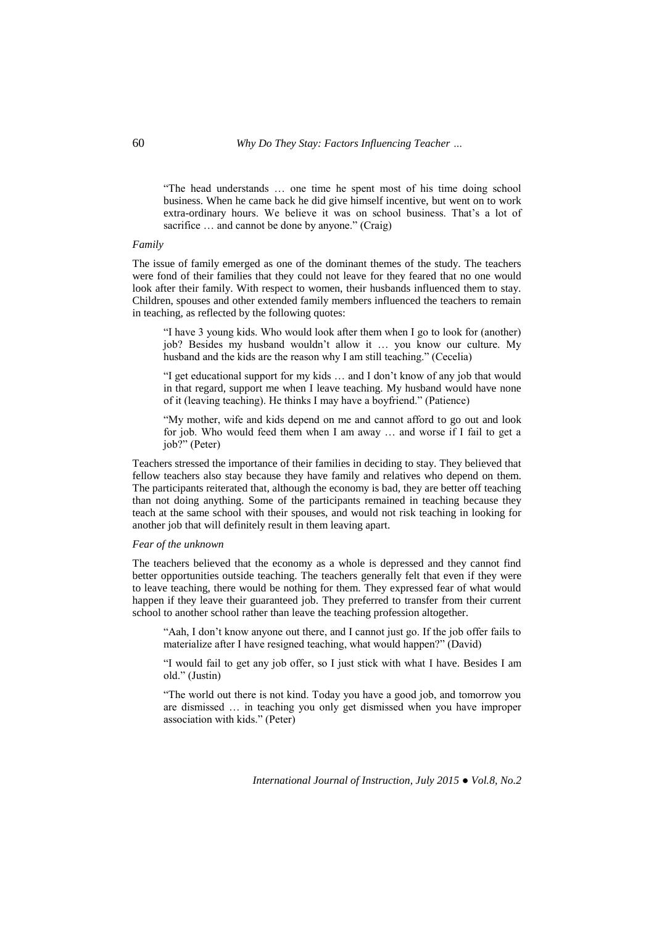"The head understands … one time he spent most of his time doing school business. When he came back he did give himself incentive, but went on to work extra-ordinary hours. We believe it was on school business. That's a lot of sacrifice ... and cannot be done by anyone." (Craig)

#### *Family*

The issue of family emerged as one of the dominant themes of the study. The teachers were fond of their families that they could not leave for they feared that no one would look after their family. With respect to women, their husbands influenced them to stay. Children, spouses and other extended family members influenced the teachers to remain in teaching, as reflected by the following quotes:

"I have 3 young kids. Who would look after them when I go to look for (another) job? Besides my husband wouldn"t allow it … you know our culture. My husband and the kids are the reason why I am still teaching." (Cecelia)

"I get educational support for my kids … and I don"t know of any job that would in that regard, support me when I leave teaching. My husband would have none of it (leaving teaching). He thinks I may have a boyfriend." (Patience)

"My mother, wife and kids depend on me and cannot afford to go out and look for job. Who would feed them when I am away … and worse if I fail to get a job?" (Peter)

Teachers stressed the importance of their families in deciding to stay. They believed that fellow teachers also stay because they have family and relatives who depend on them. The participants reiterated that, although the economy is bad, they are better off teaching than not doing anything. Some of the participants remained in teaching because they teach at the same school with their spouses, and would not risk teaching in looking for another job that will definitely result in them leaving apart.

#### *Fear of the unknown*

The teachers believed that the economy as a whole is depressed and they cannot find better opportunities outside teaching. The teachers generally felt that even if they were to leave teaching, there would be nothing for them. They expressed fear of what would happen if they leave their guaranteed job. They preferred to transfer from their current school to another school rather than leave the teaching profession altogether.

"Aah, I don"t know anyone out there, and I cannot just go. If the job offer fails to materialize after I have resigned teaching, what would happen?" (David)

"I would fail to get any job offer, so I just stick with what I have. Besides I am old." (Justin)

"The world out there is not kind. Today you have a good job, and tomorrow you are dismissed … in teaching you only get dismissed when you have improper association with kids." (Peter)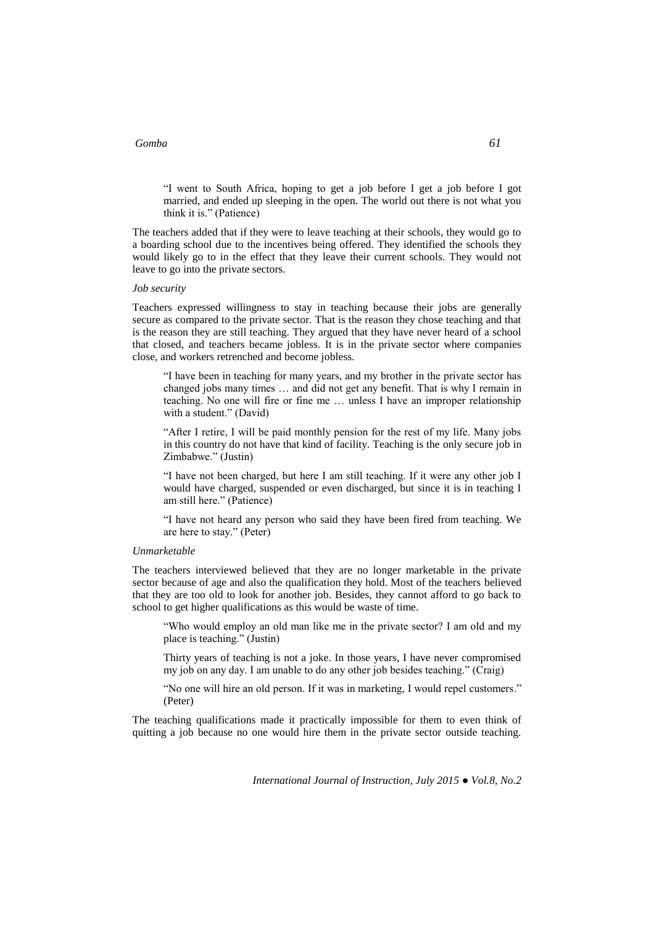"I went to South Africa, hoping to get a job before I get a job before I got married, and ended up sleeping in the open. The world out there is not what you think it is." (Patience)

The teachers added that if they were to leave teaching at their schools, they would go to a boarding school due to the incentives being offered. They identified the schools they would likely go to in the effect that they leave their current schools. They would not leave to go into the private sectors.

#### *Job security*

Teachers expressed willingness to stay in teaching because their jobs are generally secure as compared to the private sector. That is the reason they chose teaching and that is the reason they are still teaching. They argued that they have never heard of a school that closed, and teachers became jobless. It is in the private sector where companies close, and workers retrenched and become jobless.

"I have been in teaching for many years, and my brother in the private sector has changed jobs many times … and did not get any benefit. That is why I remain in teaching. No one will fire or fine me … unless I have an improper relationship with a student." (David)

"After I retire, I will be paid monthly pension for the rest of my life. Many jobs in this country do not have that kind of facility. Teaching is the only secure job in Zimbabwe." (Justin)

"I have not been charged, but here I am still teaching. If it were any other job I would have charged, suspended or even discharged, but since it is in teaching I am still here." (Patience)

"I have not heard any person who said they have been fired from teaching. We are here to stay." (Peter)

### *Unmarketable*

The teachers interviewed believed that they are no longer marketable in the private sector because of age and also the qualification they hold. Most of the teachers believed that they are too old to look for another job. Besides, they cannot afford to go back to school to get higher qualifications as this would be waste of time.

"Who would employ an old man like me in the private sector? I am old and my place is teaching." (Justin)

Thirty years of teaching is not a joke. In those years, I have never compromised my job on any day. I am unable to do any other job besides teaching." (Craig)

"No one will hire an old person. If it was in marketing, I would repel customers." (Peter)

The teaching qualifications made it practically impossible for them to even think of quitting a job because no one would hire them in the private sector outside teaching.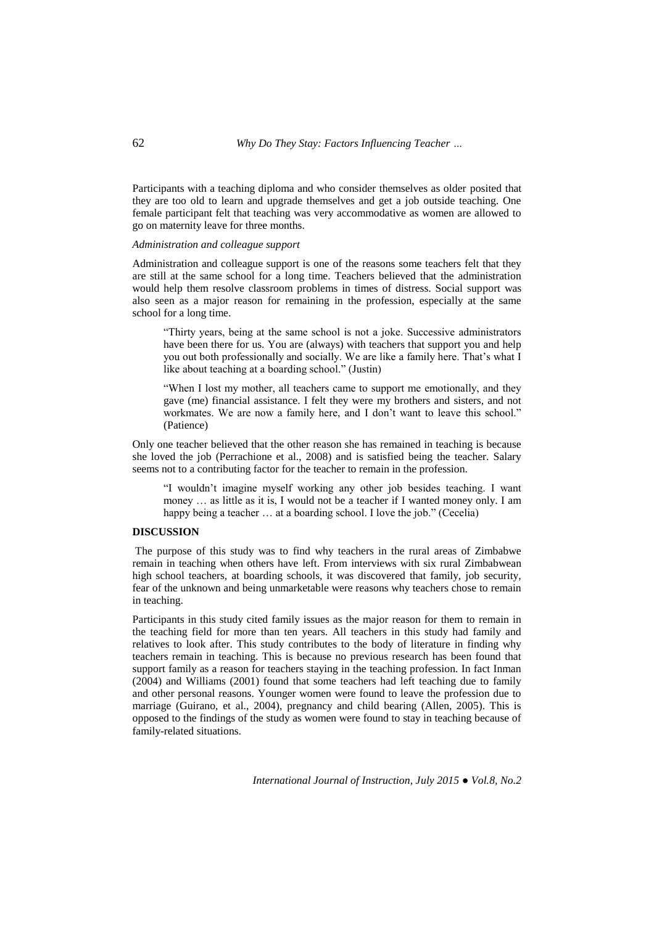Participants with a teaching diploma and who consider themselves as older posited that they are too old to learn and upgrade themselves and get a job outside teaching. One female participant felt that teaching was very accommodative as women are allowed to go on maternity leave for three months.

### *Administration and colleague support*

Administration and colleague support is one of the reasons some teachers felt that they are still at the same school for a long time. Teachers believed that the administration would help them resolve classroom problems in times of distress. Social support was also seen as a major reason for remaining in the profession, especially at the same school for a long time.

"Thirty years, being at the same school is not a joke. Successive administrators have been there for us. You are (always) with teachers that support you and help you out both professionally and socially. We are like a family here. That's what I like about teaching at a boarding school." (Justin)

"When I lost my mother, all teachers came to support me emotionally, and they gave (me) financial assistance. I felt they were my brothers and sisters, and not workmates. We are now a family here, and I don"t want to leave this school." (Patience)

Only one teacher believed that the other reason she has remained in teaching is because she loved the job (Perrachione et al., 2008) and is satisfied being the teacher. Salary seems not to a contributing factor for the teacher to remain in the profession.

"I wouldn"t imagine myself working any other job besides teaching. I want money … as little as it is, I would not be a teacher if I wanted money only. I am happy being a teacher ... at a boarding school. I love the job." (Cecelia)

## **DISCUSSION**

The purpose of this study was to find why teachers in the rural areas of Zimbabwe remain in teaching when others have left. From interviews with six rural Zimbabwean high school teachers, at boarding schools, it was discovered that family, job security, fear of the unknown and being unmarketable were reasons why teachers chose to remain in teaching.

Participants in this study cited family issues as the major reason for them to remain in the teaching field for more than ten years. All teachers in this study had family and relatives to look after. This study contributes to the body of literature in finding why teachers remain in teaching. This is because no previous research has been found that support family as a reason for teachers staying in the teaching profession. In fact Inman (2004) and Williams (2001) found that some teachers had left teaching due to family and other personal reasons. Younger women were found to leave the profession due to marriage (Guirano, et al., 2004), pregnancy and child bearing (Allen, 2005). This is opposed to the findings of the study as women were found to stay in teaching because of family-related situations.

*International Journal of Instruction, July 2015 ● Vol.8, No.2*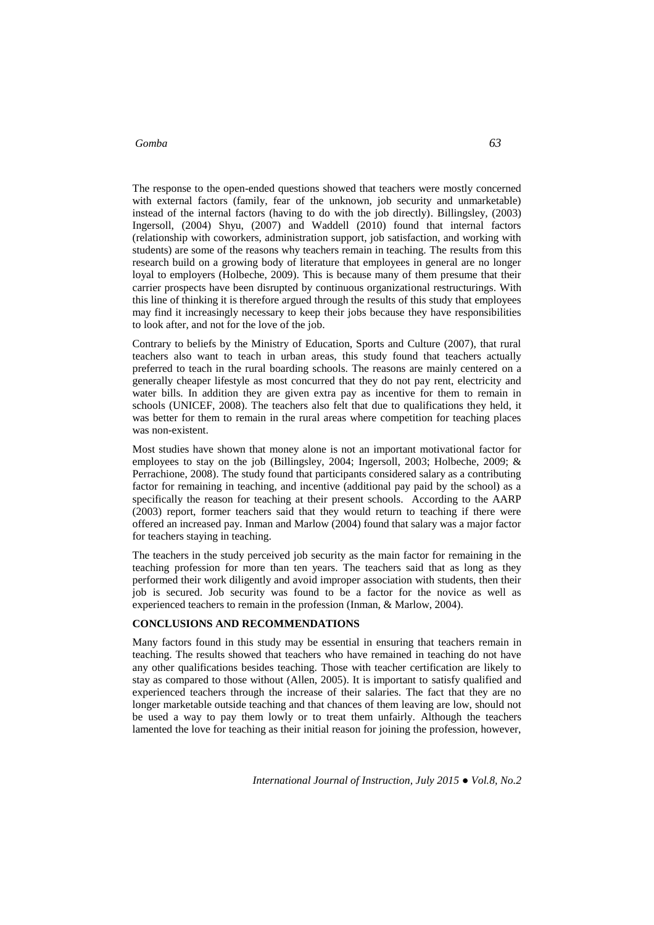The response to the open-ended questions showed that teachers were mostly concerned with external factors (family, fear of the unknown, job security and unmarketable) instead of the internal factors (having to do with the job directly). Billingsley, (2003) Ingersoll, (2004) Shyu, (2007) and Waddell (2010) found that internal factors (relationship with coworkers, administration support, job satisfaction, and working with students) are some of the reasons why teachers remain in teaching. The results from this research build on a growing body of literature that employees in general are no longer loyal to employers (Holbeche, 2009). This is because many of them presume that their carrier prospects have been disrupted by continuous organizational restructurings. With this line of thinking it is therefore argued through the results of this study that employees may find it increasingly necessary to keep their jobs because they have responsibilities to look after, and not for the love of the job.

Contrary to beliefs by the Ministry of Education, Sports and Culture (2007), that rural teachers also want to teach in urban areas, this study found that teachers actually preferred to teach in the rural boarding schools. The reasons are mainly centered on a generally cheaper lifestyle as most concurred that they do not pay rent, electricity and water bills. In addition they are given extra pay as incentive for them to remain in schools (UNICEF, 2008). The teachers also felt that due to qualifications they held, it was better for them to remain in the rural areas where competition for teaching places was non-existent.

Most studies have shown that money alone is not an important motivational factor for employees to stay on the job (Billingsley, 2004; Ingersoll, 2003; Holbeche, 2009; & Perrachione, 2008). The study found that participants considered salary as a contributing factor for remaining in teaching, and incentive (additional pay paid by the school) as a specifically the reason for teaching at their present schools. According to the AARP (2003) report, former teachers said that they would return to teaching if there were offered an increased pay. Inman and Marlow (2004) found that salary was a major factor for teachers staying in teaching.

The teachers in the study perceived job security as the main factor for remaining in the teaching profession for more than ten years. The teachers said that as long as they performed their work diligently and avoid improper association with students, then their job is secured. Job security was found to be a factor for the novice as well as experienced teachers to remain in the profession (Inman, & Marlow, 2004).

## **CONCLUSIONS AND RECOMMENDATIONS**

Many factors found in this study may be essential in ensuring that teachers remain in teaching. The results showed that teachers who have remained in teaching do not have any other qualifications besides teaching. Those with teacher certification are likely to stay as compared to those without (Allen, 2005). It is important to satisfy qualified and experienced teachers through the increase of their salaries. The fact that they are no longer marketable outside teaching and that chances of them leaving are low, should not be used a way to pay them lowly or to treat them unfairly. Although the teachers lamented the love for teaching as their initial reason for joining the profession, however,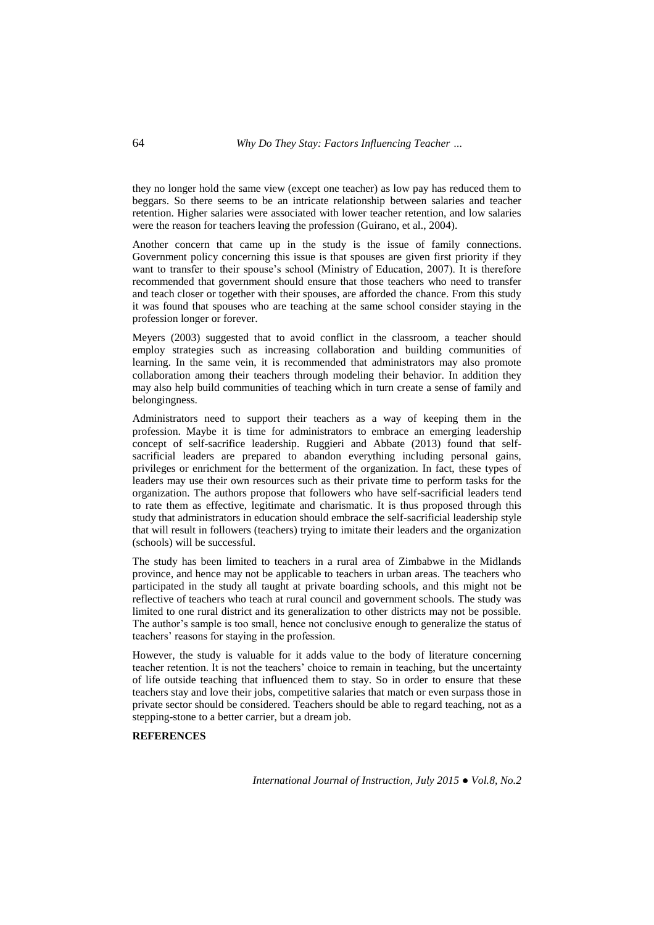they no longer hold the same view (except one teacher) as low pay has reduced them to beggars. So there seems to be an intricate relationship between salaries and teacher retention. Higher salaries were associated with lower teacher retention, and low salaries were the reason for teachers leaving the profession (Guirano, et al., 2004).

Another concern that came up in the study is the issue of family connections. Government policy concerning this issue is that spouses are given first priority if they want to transfer to their spouse's school (Ministry of Education, 2007). It is therefore recommended that government should ensure that those teachers who need to transfer and teach closer or together with their spouses, are afforded the chance. From this study it was found that spouses who are teaching at the same school consider staying in the profession longer or forever.

Meyers (2003) suggested that to avoid conflict in the classroom, a teacher should employ strategies such as increasing collaboration and building communities of learning. In the same vein, it is recommended that administrators may also promote collaboration among their teachers through modeling their behavior. In addition they may also help build communities of teaching which in turn create a sense of family and belongingness.

Administrators need to support their teachers as a way of keeping them in the profession. Maybe it is time for administrators to embrace an emerging leadership concept of self-sacrifice leadership. Ruggieri and Abbate (2013) found that selfsacrificial leaders are prepared to abandon everything including personal gains, privileges or enrichment for the betterment of the organization. In fact, these types of leaders may use their own resources such as their private time to perform tasks for the organization. The authors propose that followers who have self-sacrificial leaders tend to rate them as effective, legitimate and charismatic. It is thus proposed through this study that administrators in education should embrace the self-sacrificial leadership style that will result in followers (teachers) trying to imitate their leaders and the organization (schools) will be successful.

The study has been limited to teachers in a rural area of Zimbabwe in the Midlands province, and hence may not be applicable to teachers in urban areas. The teachers who participated in the study all taught at private boarding schools, and this might not be reflective of teachers who teach at rural council and government schools. The study was limited to one rural district and its generalization to other districts may not be possible. The author's sample is too small, hence not conclusive enough to generalize the status of teachers' reasons for staying in the profession.

However, the study is valuable for it adds value to the body of literature concerning teacher retention. It is not the teachers" choice to remain in teaching, but the uncertainty of life outside teaching that influenced them to stay. So in order to ensure that these teachers stay and love their jobs, competitive salaries that match or even surpass those in private sector should be considered. Teachers should be able to regard teaching, not as a stepping-stone to a better carrier, but a dream job.

### **REFERENCES**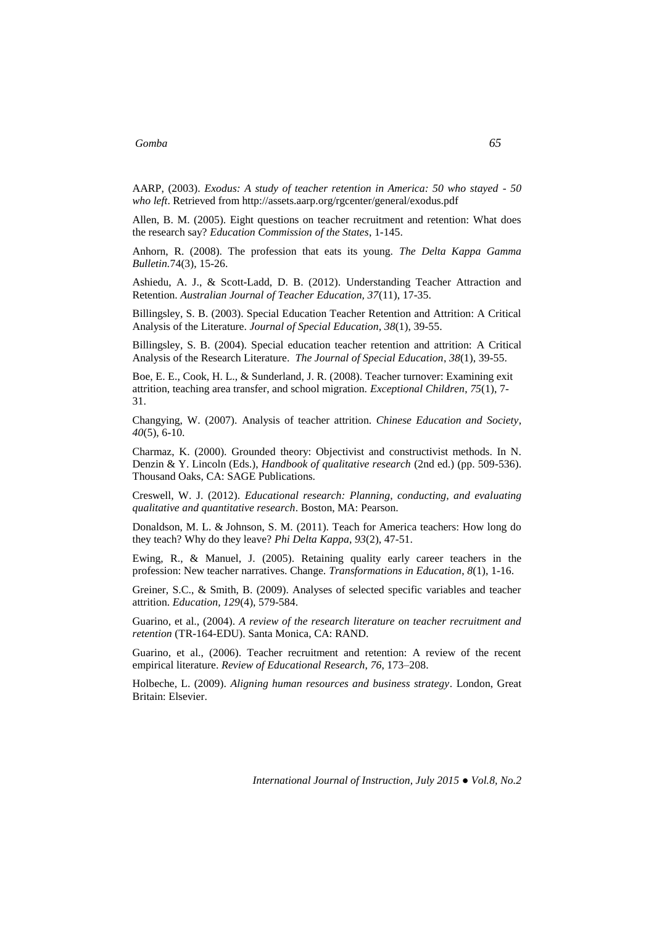AARP, (2003). *Exodus: A study of teacher retention in America: 50 who stayed - 50 who left*. Retrieved from http://assets.aarp.org/rgcenter/general/exodus.pdf

Allen, B. M. (2005). Eight questions on teacher recruitment and retention: What does the research say? *Education Commission of the States*, 1-145.

Anhorn, R. (2008). The profession that eats its young. *The Delta Kappa Gamma Bulletin.*74(3), 15-26.

Ashiedu, A. J., & Scott-Ladd, D. B. (2012). Understanding Teacher Attraction and Retention. *Australian Journal of Teacher Education, 37*(11), 17-35.

Billingsley, S. B. (2003). Special Education Teacher Retention and Attrition: A Critical Analysis of the Literature. *Journal of Special Education*, *38*(1), 39-55.

Billingsley, S. B. (2004). Special education teacher retention and attrition: A Critical Analysis of the Research Literature. *The Journal of Special Education*, *38*(1), 39-55.

Boe, E. E., Cook, H. L., & Sunderland, J. R. (2008). Teacher turnover: Examining exit attrition, teaching area transfer, and school migration. *Exceptional Children*, *75*(1), 7- 31.

Changying, W. (2007). Analysis of teacher attrition. *Chinese Education and Society*, *40*(5), 6-10.

Charmaz, K. (2000). Grounded theory: Objectivist and constructivist methods. In N. Denzin & Y. Lincoln (Eds.), *Handbook of qualitative research* (2nd ed.) (pp. 509-536). Thousand Oaks, CA: SAGE Publications.

Creswell, W. J. (2012). *Educational research: Planning, conducting, and evaluating qualitative and quantitative research*. Boston, MA: Pearson.

Donaldson, M. L. & Johnson, S. M. (2011). Teach for America teachers: How long do they teach? Why do they leave? *Phi Delta Kappa*, *93*(2), 47-51.

Ewing, R., & Manuel, J. (2005). Retaining quality early career teachers in the profession: New teacher narratives. Change. *Transformations in Education*, *8*(1), 1-16.

Greiner, S.C., & Smith, B. (2009). Analyses of selected specific variables and teacher attrition. *Education, 129*(4), 579-584.

Guarino, et al., (2004). *A review of the research literature on teacher recruitment and retention* (TR-164-EDU). Santa Monica, CA: RAND.

Guarino, et al., (2006). Teacher recruitment and retention: A review of the recent empirical literature. *Review of Educational Research*, *76*, 173–208.

Holbeche, L. (2009). *Aligning human resources and business strategy*. London, Great Britain: Elsevier.

*International Journal of Instruction, July 2015 ● Vol.8, No.2*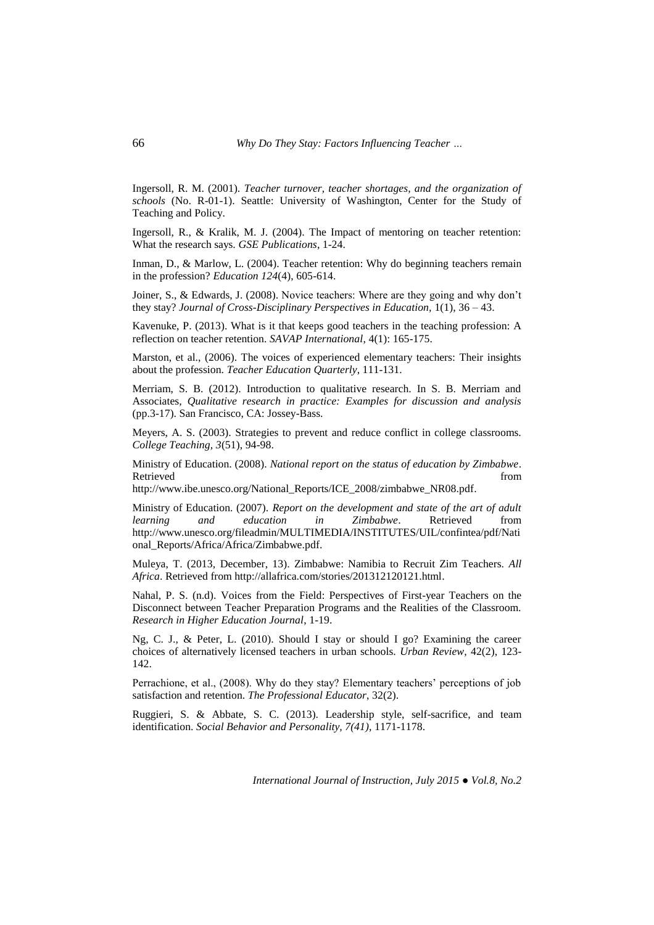Ingersoll, R. M. (2001). *Teacher turnover, teacher shortages, and the organization of schools* (No. R-01-1). Seattle: University of Washington, Center for the Study of Teaching and Policy.

Ingersoll, R., & Kralik, M. J. (2004). The Impact of mentoring on teacher retention: What the research says. *GSE Publications*, 1-24.

Inman, D., & Marlow, L. (2004). Teacher retention: Why do beginning teachers remain in the profession? *Education 124*(4), 605-614.

Joiner, S., & Edwards, J. (2008). Novice teachers: Where are they going and why don"t they stay? *Journal of Cross-Disciplinary Perspectives in Education,* 1(1), 36 – 43.

Kavenuke, P. (2013). What is it that keeps good teachers in the teaching profession: A reflection on teacher retention. *SAVAP International*, 4(1): 165-175.

Marston, et al., (2006). The voices of experienced elementary teachers: Their insights about the profession. *Teacher Education Quarterly*, 111-131.

Merriam, S. B. (2012). Introduction to qualitative research. In S. B. Merriam and Associates, *Qualitative research in practice: Examples for discussion and analysis* (pp.3-17). San Francisco, CA: Jossey-Bass.

Meyers, A. S. (2003). Strategies to prevent and reduce conflict in college classrooms. *College Teaching, 3*(51), 94-98.

Ministry of Education. (2008). *National report on the status of education by Zimbabwe*. Retrieved from  $\blacksquare$ 

[http://www.ibe.unesco.org/National\\_Reports/ICE\\_2008/zimbabwe\\_NR08.pdf.](http://www.ibe.unesco.org/National_Reports/ICE_2008/zimbabwe_NR08.pdf)

Ministry of Education. (2007). *Report on the development and state of the art of adult learning and education in Zimbabwe*. Retrieved from [http://www.unesco.org/fileadmin/MULTIMEDIA/INSTITUTES/UIL/confintea/pdf/Nati](http://www.unesco.org/fileadmin/MULTIMEDIA/INSTITUTES/UIL/confintea/pdf/National_Reports/Africa/Africa/Zimbabwe.pdf) [onal\\_Reports/Africa/Africa/Zimbabwe.pdf.](http://www.unesco.org/fileadmin/MULTIMEDIA/INSTITUTES/UIL/confintea/pdf/National_Reports/Africa/Africa/Zimbabwe.pdf)

Muleya, T. (2013, December, 13). Zimbabwe: Namibia to Recruit Zim Teachers. *All Africa*. Retrieved fro[m http://allafrica.com/stories/201312120121.html.](http://allafrica.com/stories/201312120121.html)

Nahal, P. S. (n.d). Voices from the Field: Perspectives of First-year Teachers on the Disconnect between Teacher Preparation Programs and the Realities of the Classroom. *Research in Higher Education Journal*, 1-19.

Ng, C. J., & Peter, L. (2010). Should I stay or should I go? Examining the career choices of alternatively licensed teachers in urban schools. *Urban Review*, 42(2), 123- 142.

Perrachione, et al., (2008). Why do they stay? Elementary teachers' perceptions of job satisfaction and retention. *The Professional Educator*, 32(2).

Ruggieri, S. & Abbate, S. C. (2013). Leadership style, self-sacrifice, and team identification. *Social Behavior and Personality, 7(41)*, 1171-1178.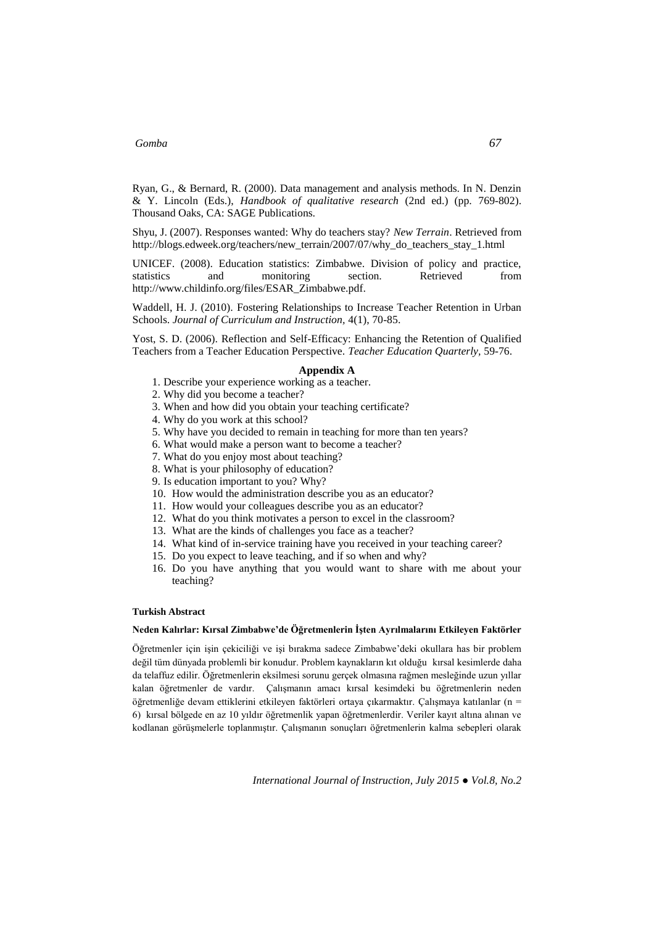Ryan, G., & Bernard, R. (2000). Data management and analysis methods. In N. Denzin & Y. Lincoln (Eds.), *Handbook of qualitative research* (2nd ed.) (pp. 769-802). Thousand Oaks, CA: SAGE Publications.

Shyu, J. (2007). Responses wanted: Why do teachers stay? *New Terrain*. Retrieved from [http://blogs.edweek.org/teachers/new\\_terrain/2007/07/why\\_do\\_teachers\\_stay\\_1.html](http://blogs.edweek.org/teachers/new_terrain/2007/07/why_do_teachers_stay_1.html)

UNICEF. (2008). Education statistics: Zimbabwe. Division of policy and practice, statistics and monitoring section. Retrieved from [http://www.childinfo.org/files/ESAR\\_Zimbabwe.pdf.](http://www.childinfo.org/files/ESAR_Zimbabwe.pdf)

Waddell, H. J. (2010). Fostering Relationships to Increase Teacher Retention in Urban Schools. *Journal of Curriculum and Instruction,* 4(1), 70-85.

Yost, S. D. (2006). Reflection and Self-Efficacy: Enhancing the Retention of Qualified Teachers from a Teacher Education Perspective. *Teacher Education Quarterly,* 59-76.

### **Appendix A**

- 1. Describe your experience working as a teacher.
- 2. Why did you become a teacher?
- 3. When and how did you obtain your teaching certificate?
- 4. Why do you work at this school?
- 5. Why have you decided to remain in teaching for more than ten years?
- 6. What would make a person want to become a teacher?
- 7. What do you enjoy most about teaching?
- 8. What is your philosophy of education?
- 9. Is education important to you? Why?
- 10. How would the administration describe you as an educator?
- 11. How would your colleagues describe you as an educator?
- 12. What do you think motivates a person to excel in the classroom?
- 13. What are the kinds of challenges you face as a teacher?
- 14. What kind of in-service training have you received in your teaching career?
- 15. Do you expect to leave teaching, and if so when and why?
- 16. Do you have anything that you would want to share with me about your teaching?

#### **Turkish Abstract**

#### **Neden Kalırlar: Kırsal Zimbabwe'de Öğretmenlerin İşten Ayrılmalarını Etkileyen Faktörler**

Öğretmenler için işin çekiciliği ve işi bırakma sadece Zimbabwe"deki okullara has bir problem değil tüm dünyada problemli bir konudur. Problem kaynakların kıt olduğu kırsal kesimlerde daha da telaffuz edilir. Öğretmenlerin eksilmesi sorunu gerçek olmasına rağmen mesleğinde uzun yıllar kalan öğretmenler de vardır. Çalışmanın amacı kırsal kesimdeki bu öğretmenlerin neden öğretmenliğe devam ettiklerini etkileyen faktörleri ortaya çıkarmaktır. Çalışmaya katılanlar (n = 6) kırsal bölgede en az 10 yıldır öğretmenlik yapan öğretmenlerdir. Veriler kayıt altına alınan ve kodlanan görüşmelerle toplanmıştır. Çalışmanın sonuçları öğretmenlerin kalma sebepleri olarak

*International Journal of Instruction, July 2015 ● Vol.8, No.2*